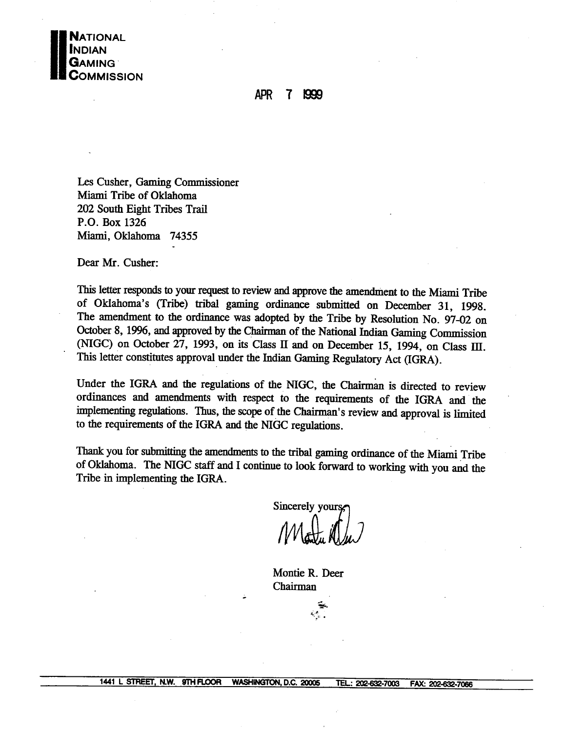

#### **APR** 1999

Les Cusher, Gaming Commissioner Miami Tribe of Oklahoma 202 South Eight Tribes Trail P.O. Box 1326 Miami, Oklahoma 74355

Dear Mr. Cusher:

This letter responds to your request to review and approve the amendment to the Miami Tribe of Oklahoma's (Tribe) tribal gaming ordinance submitted on December 31, 1998. The amendment to the ordinance was adopted by the Tribe by Resolution No. 97-02 on October 8, 1996, and approved by the Chairman of the National Indian Gaming Commission (NIGC) on October 27, 1993, on its Class II and on December 15, 1994, on Class III. This letter constitutes approval under the Indian Gaming Regulatory Act (IGRA).

Under the IGRA and the regulations of the NIGC, the Chairman is directed to review ordinances and amendments with respect to the requirements of the IGRA and the implementing regulations. Thus, the scope of the Chairman's review and approval is limited to the requirements of the IGRA and the NIGC regulations.

Thank you for submitting the amendments to the tribal gaming ordinance of the Miami Tribe of Oklahoma. The NIGC staff and I continue to look forward to working with you and the Tribe in implementing the IGRA.

Sincerely your

Montie R. Deer Chairman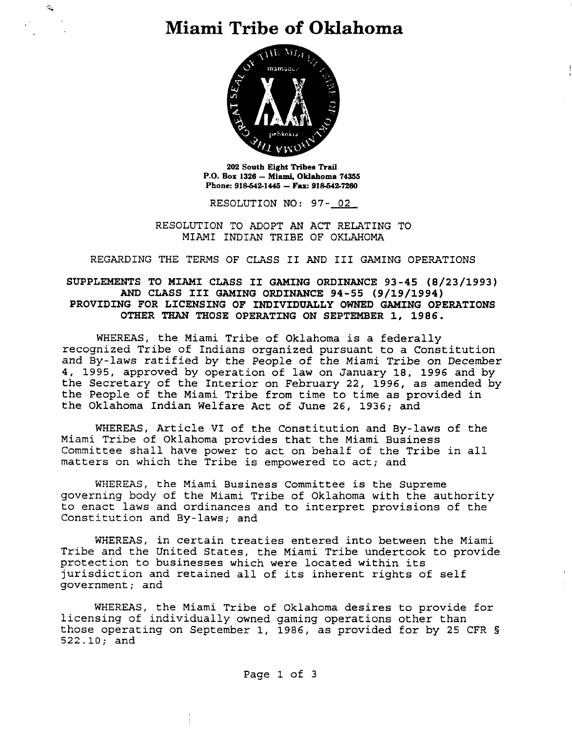# **Miami Tribe of Oklahoma**

 $\leq$ 



**202 South Eight Tribes Trail P.O. Box 1326 Miami, Oklahoma 74355 Phone: 918.542-1445 Fax 918-542-7260**

**RESOLUTION NO: 97- 02**

**RESOLUTION TO ADOPT AN ACT RELATING TO MIAMI INDIAN TRIBE OF OKLAHOMA**

**REGARDING THE TERMS OF CLASS II AND III GAMING OPERATIONS**

# **SUPPLEMENTS TO MIAMI CLASS II GAMING ORDINANCE 93-45 (8/23/1993) AND CLASS III GAMING ORDINANCE 94-55 (9/19/1994) PROVIDING FOR LICENSING OF INDIVIDUALLY OWNED GAMING OPERATIONS OTHER THAN THOSE OPERATING ON SEPTEMBER 1, 1986.**

**WHEREAS, the Miami Tribe of Oklahoma is <sup>a</sup> federally recognized Tribe of Indians organized pursuant to a Constitution and By-laws ratified by the People of the Miami Tribe on December 4, 1995, approved by operation of law on January 18, 1996 and by the Secretary of the Interior on February 22, 1996, as amended by the People of the Miami Tribe from time to time as provided in the Oklahoma Indian Welfare Act of June 26, 1936; and**

**WHEREAS, Article VI of the Constitution and By-laws of the Miami Tribe of Oklahoma provides that the Miami Business Committee shall have power to act on behalf of the Tribe in all matters on which the Tribe is empowered to act; and**

**WHEREAS, the Miami Business Committee is the Supreme governing body of the Miami Tribe of Oklahoma with the authority to enact laws and ordinances and to interpret provisions of the Constitution and By-laws; and**

**WHEREAS, in certain treaties entered into between the Miami Tribe and the United States, the Miami Tribe undertook to provide protection to businesses which were located within its jurisdiction and retained all of its inherent rights of self government; and**

**WHEREAS, the Miami Tribe of Oklahoma desires to provide for licensing of individually owned gaming operations other than those operating on September 1, 1986, as provided for by 25 CFR § 522.10; and**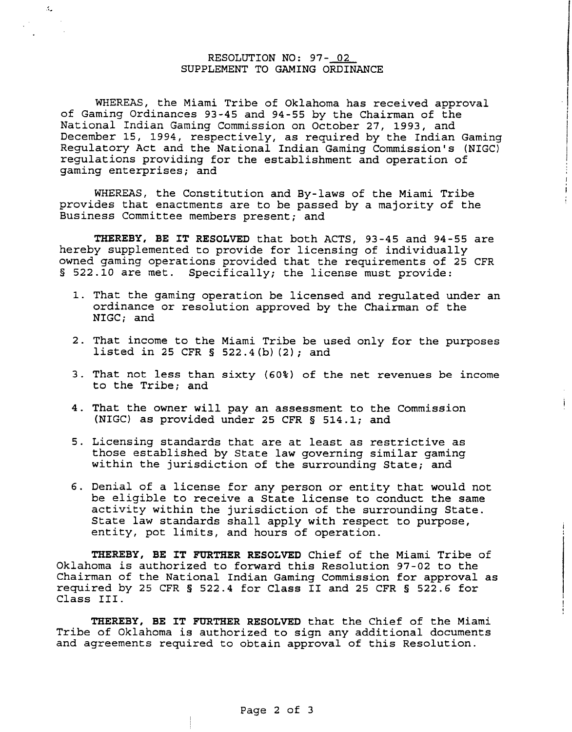### **RESOLUTION NO: 97- 02 SUPPLEMENT TO GAMING ORDINANCE**

 $\mathcal{A}_\bullet$ 

**WHEREAS, the Miami Tribe of Oklahoma has received approval of Gaming Ordinances 93-45 and 94-55 by the Chairman of the National Indian Gaming Commission on October 27, 1993, and December 15, 1994, respectively, as required by the Indian Gaming**  $Regulatory Act and the National Indian Gamma Commission's (NIGC)$ **regulations providing for the establishment and operation of gaming enterprises; and**

**WHEREAS, the Constitution and By-laws of the Miami Tribe provides that enactments are to be passed by a majority of the Business Committee members present; and**

**THEREBY, BE IT RESOLVED that both ACTS, 93-45 and 94-55 are hereby supplemented to provide for licensing of individually owned gaming operations provided that the requirements of 25 CFR § 522.10 are met. Specifically; the license must provide:**

- **1. That the gaming operation be licensed and regulated under an ordinance or resolution approved by the Chairman of the NIGC; and**
- **2. That income to the Miami Tribe be used only for the purposes listed in 25 CFR § 522.4(b) (2); and**
- **3. That not less than sixty (60%) of the net revenues be income to the Tribe; and**

Ĵ.

- **4. That the owner will pay an assessment to the Commission (NIGC) as provided under 25 CFR § 514.1; and**
- **5. Licensing standards that are at least as restrictive as those established by State law governing similar gaming within the jurisdiction of the surrounding State; and**
- **6. Denial of <sup>a</sup> license for any person or entity that would not be eligible to receive a State license to conduct the same activity within the jurisdiction of the surrounding State. State law standards shall apply with respect to purpose, entity, pot limits, and hours of operation.**

**THEREBY, BE IT FURTHER RESOLVED Chief of the Miami Tribe of Oklahoma is authorized to forward this Resolution 97-02 to the Chairman of the National Indian Gaming Commission for approval as required by 25 CFR § 522.4 for Class II and 25 CFR § 522.6 for Class III.**

**THEREBY, BE IT FURTHER RESOLVED that the Chief of the Miami Tribe of Oklahoma is authorized to sign any additional documents and agreements required to obtain approval of this Resolution.**